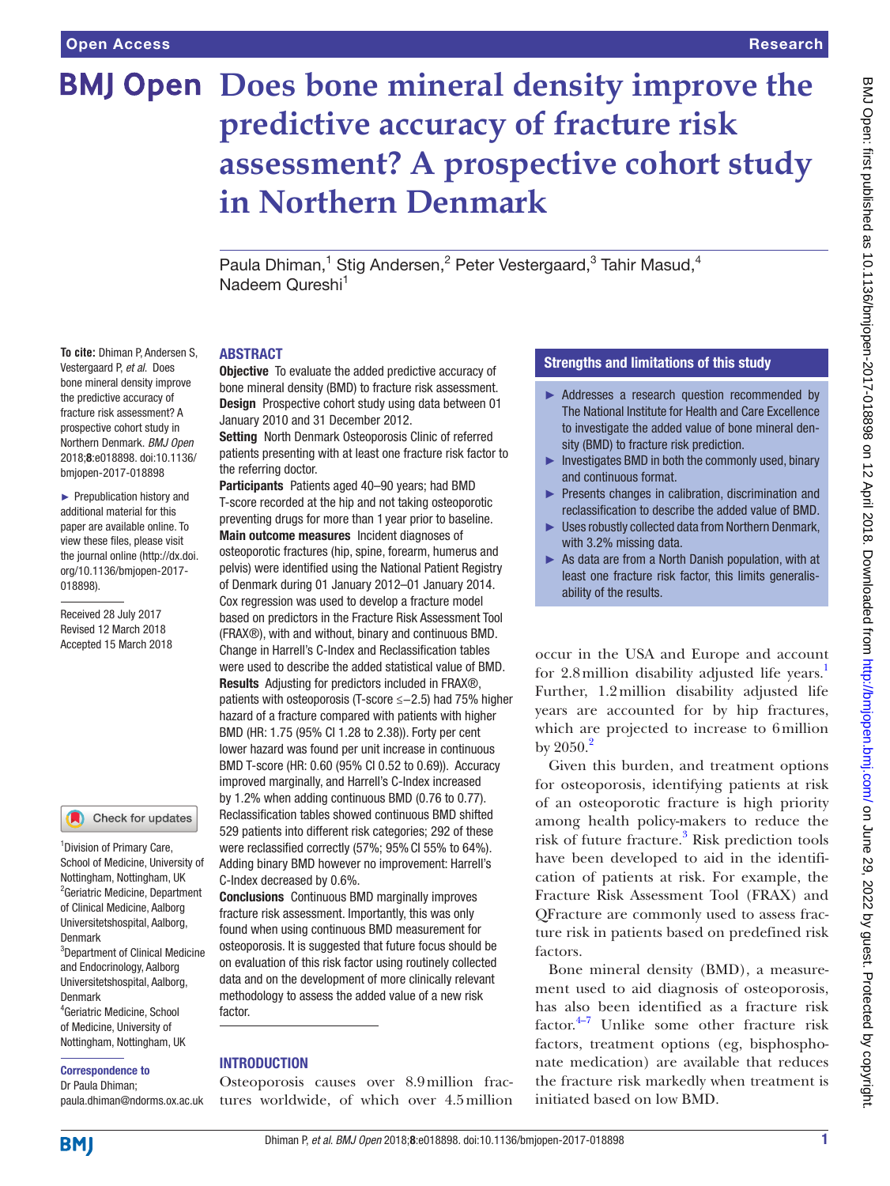**To cite: Dhiman P Andersen S** Vestergaard P, *et al*. Does bone mineral density improve the predictive accuracy of fracture risk assessment? A prospective cohort study in Northern Denmark. *BMJ Open* 2018;8:e018898. doi:10.1136/ bmjopen-2017-018898 ► Prepublication history and additional material for this paper are available online. To view these files, please visit the journal online [\(http://dx.doi.](http://dx.doi.org/10.1136/bmjopen-2017-018898) [org/10.1136/bmjopen-2017-](http://dx.doi.org/10.1136/bmjopen-2017-018898)

[018898\)](http://dx.doi.org/10.1136/bmjopen-2017-018898).

Received 28 July 2017 Revised 12 March 2018 Accepted 15 March 2018

<sup>1</sup> Division of Primary Care, School of Medicine, University of Nottingham, Nottingham, UK <sup>2</sup> Geriatric Medicine, Department of Clinical Medicine, Aalborg Universitetshospital, Aalborg,

Check for updates

<sup>3</sup>Department of Clinical Medicine and Endocrinology, Aalborg Universitetshospital, Aalborg,

4 Geriatric Medicine, School of Medicine, University of Nottingham, Nottingham, UK

paula.dhiman@ndorms.ox.ac.uk

Correspondence to Dr Paula Dhiman;

# **BMJ Open Does bone mineral density improve the predictive accuracy of fracture risk assessment? A prospective cohort study in Northern Denmark**

Paula Dhiman,<sup>1</sup> Stig Andersen,<sup>2</sup> Peter Vestergaard,<sup>3</sup> Tahir Masud,<sup>4</sup> Nadeem Qureshi<sup>1</sup>

#### **ABSTRACT**

**Objective** To evaluate the added predictive accuracy of bone mineral density (BMD) to fracture risk assessment. Design Prospective cohort study using data between 01 January 2010 and 31 December 2012.

Setting North Denmark Osteoporosis Clinic of referred patients presenting with at least one fracture risk factor to the referring doctor.

Participants Patients aged 40-90 years; had BMD T-score recorded at the hip and not taking osteoporotic preventing drugs for more than 1 year prior to baseline. Main outcome measures Incident diagnoses of osteoporotic fractures (hip, spine, forearm, humerus and pelvis) were identified using the National Patient Registry of Denmark during 01 January 2012–01 January 2014. Cox regression was used to develop a fracture model based on predictors in the Fracture Risk Assessment Tool (FRAX®), with and without, binary and continuous BMD. Change in Harrell's C-Index and Reclassification tables were used to describe the added statistical value of BMD. Results Adjusting for predictors included in FRAX®, patients with osteoporosis (T-score ≤−2.5) had 75% higher hazard of a fracture compared with patients with higher BMD (HR: 1.75 (95% CI 1.28 to 2.38)). Forty per cent lower hazard was found per unit increase in continuous BMD T-score (HR: 0.60 (95% CI 0.52 to 0.69)). Accuracy improved marginally, and Harrell's C-Index increased by 1.2% when adding continuous BMD (0.76 to 0.77). Reclassification tables showed continuous BMD shifted 529 patients into different risk categories; 292 of these were reclassified correctly (57%; 95% CI 55% to 64%). Adding binary BMD however no improvement: Harrell's C-Index decreased by 0.6%.

Conclusions Continuous BMD marginally improves fracture risk assessment. Importantly, this was only found when using continuous BMD measurement for osteoporosis. It is suggested that future focus should be on evaluation of this risk factor using routinely collected data and on the development of more clinically relevant methodology to assess the added value of a new risk factor.

#### **INTRODUCTION**

Osteoporosis causes over 8.9million fractures worldwide, of which over 4.5million

# Strengths and limitations of this study

- ► Addresses a research question recommended by The National Institute for Health and Care Excellence to investigate the added value of bone mineral density (BMD) to fracture risk prediction.
- $\blacktriangleright$  Investigates BMD in both the commonly used, binary and continuous format.
- ► Presents changes in calibration, discrimination and reclassification to describe the added value of BMD.
- ► Uses robustly collected data from Northern Denmark, with 3.2% missing data.
- ► As data are from a North Danish population, with at least one fracture risk factor, this limits generalisability of the results.

occur in the USA and Europe and account for 2.8 million disability adjusted life years.<sup>1</sup> Further, 1.2million disability adjusted life years are accounted for by hip fractures, which are projected to increase to 6million by  $2050.<sup>2</sup>$  $2050.<sup>2</sup>$ 

Given this burden, and treatment options for osteoporosis, identifying patients at risk of an osteoporotic fracture is high priority among health policy-makers to reduce the risk of future fracture.<sup>[3](#page-7-2)</sup> Risk prediction tools have been developed to aid in the identification of patients at risk. For example, the Fracture Risk Assessment Tool (FRAX) and QFracture are commonly used to assess fracture risk in patients based on predefined risk factors.

Bone mineral density (BMD), a measurement used to aid diagnosis of osteoporosis, has also been identified as a fracture risk factor. $4\frac{4}{7}$  Unlike some other fracture risk factors, treatment options (eg, bisphosphonate medication) are available that reduces the fracture risk markedly when treatment is initiated based on low BMD.

# **BMI**

Denmark

Denmark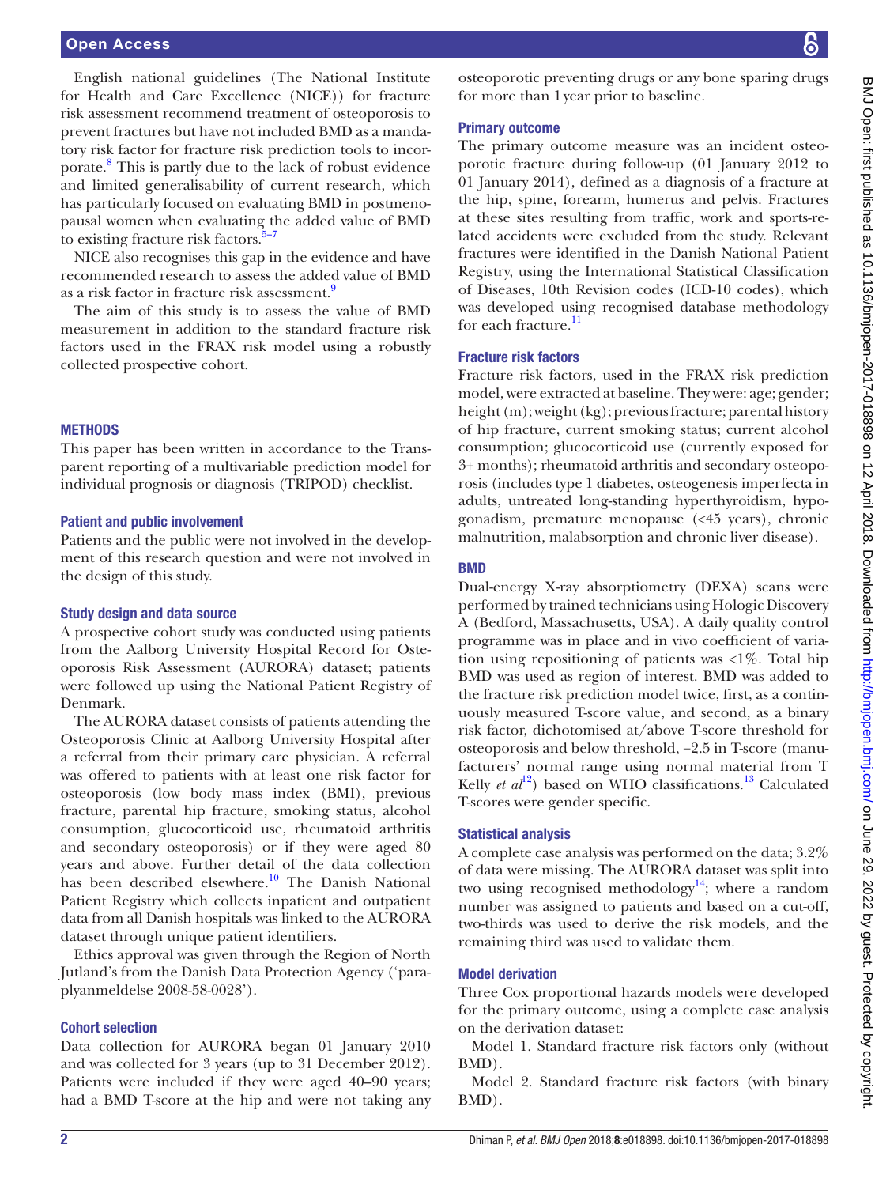English national guidelines (The National Institute for Health and Care Excellence (NICE)) for fracture risk assessment recommend treatment of osteoporosis to prevent fractures but have not included BMD as a mandatory risk factor for fracture risk prediction tools to incorporate.<sup>8</sup> This is partly due to the lack of robust evidence and limited generalisability of current research, which has particularly focused on evaluating BMD in postmenopausal women when evaluating the added value of BMD to existing fracture risk factors. $5-7$ 

NICE also recognises this gap in the evidence and have recommended research to assess the added value of BMD as a risk factor in fracture risk assessment.<sup>9</sup>

The aim of this study is to assess the value of BMD measurement in addition to the standard fracture risk factors used in the FRAX risk model using a robustly collected prospective cohort.

#### **METHODS**

This paper has been written in accordance to the Transparent reporting of a multivariable prediction model for individual prognosis or diagnosis (TRIPOD) checklist.

#### Patient and public involvement

Patients and the public were not involved in the development of this research question and were not involved in the design of this study.

#### Study design and data source

A prospective cohort study was conducted using patients from the Aalborg University Hospital Record for Osteoporosis Risk Assessment (AURORA) dataset; patients were followed up using the National Patient Registry of Denmark.

The AURORA dataset consists of patients attending the Osteoporosis Clinic at Aalborg University Hospital after a referral from their primary care physician. A referral was offered to patients with at least one risk factor for osteoporosis (low body mass index (BMI), previous fracture, parental hip fracture, smoking status, alcohol consumption, glucocorticoid use, rheumatoid arthritis and secondary osteoporosis) or if they were aged 80 years and above. Further detail of the data collection has been described elsewhere.<sup>10</sup> The Danish National Patient Registry which collects inpatient and outpatient data from all Danish hospitals was linked to the AURORA dataset through unique patient identifiers.

Ethics approval was given through the Region of North Jutland's from the Danish Data Protection Agency ('paraplyanmeldelse 2008-58-0028').

#### Cohort selection

Data collection for AURORA began 01 January 2010 and was collected for 3 years (up to 31 December 2012). Patients were included if they were aged 40–90 years; had a BMD T-score at the hip and were not taking any osteoporotic preventing drugs or any bone sparing drugs for more than 1year prior to baseline.

#### Primary outcome

The primary outcome measure was an incident osteoporotic fracture during follow-up (01 January 2012 to 01 January 2014), defined as a diagnosis of a fracture at the hip, spine, forearm, humerus and pelvis. Fractures at these sites resulting from traffic, work and sports-related accidents were excluded from the study. Relevant fractures were identified in the Danish National Patient Registry, using the International Statistical Classification of Diseases, 10th Revision codes (ICD-10 codes), which was developed using recognised database methodology for each fracture.<sup>11</sup>

#### Fracture risk factors

Fracture risk factors, used in the FRAX risk prediction model, were extracted at baseline. They were: age; gender; height (m); weight (kg); previous fracture; parental history of hip fracture, current smoking status; current alcohol consumption; glucocorticoid use (currently exposed for 3+ months); rheumatoid arthritis and secondary osteoporosis (includes type 1 diabetes, osteogenesis imperfecta in adults, untreated long-standing hyperthyroidism, hypogonadism, premature menopause (<45 years), chronic malnutrition, malabsorption and chronic liver disease).

#### BMD

Dual-energy X-ray absorptiometry (DEXA) scans were performed by trained technicians using Hologic Discovery A (Bedford, Massachusetts, USA). A daily quality control programme was in place and in vivo coefficient of variation using repositioning of patients was <1%. Total hip BMD was used as region of interest. BMD was added to the fracture risk prediction model twice, first, as a continuously measured T-score value, and second, as a binary risk factor, dichotomised at/above T-score threshold for osteoporosis and below threshold, −2.5 in T-score (manufacturers' normal range using normal material from T Kelly *et al*<sup>[12](#page-7-9)</sup>) based on WHO classifications.<sup>13</sup> Calculated T-scores were gender specific.

#### Statistical analysis

A complete case analysis was performed on the data; 3.2% of data were missing. The AURORA dataset was split into two using recognised methodology<sup>14</sup>; where a random number was assigned to patients and based on a cut-off, two-thirds was used to derive the risk models, and the remaining third was used to validate them.

#### Model derivation

Three Cox proportional hazards models were developed for the primary outcome, using a complete case analysis on the derivation dataset:

Model 1. Standard fracture risk factors only (without BMD).

Model 2. Standard fracture risk factors (with binary BMD).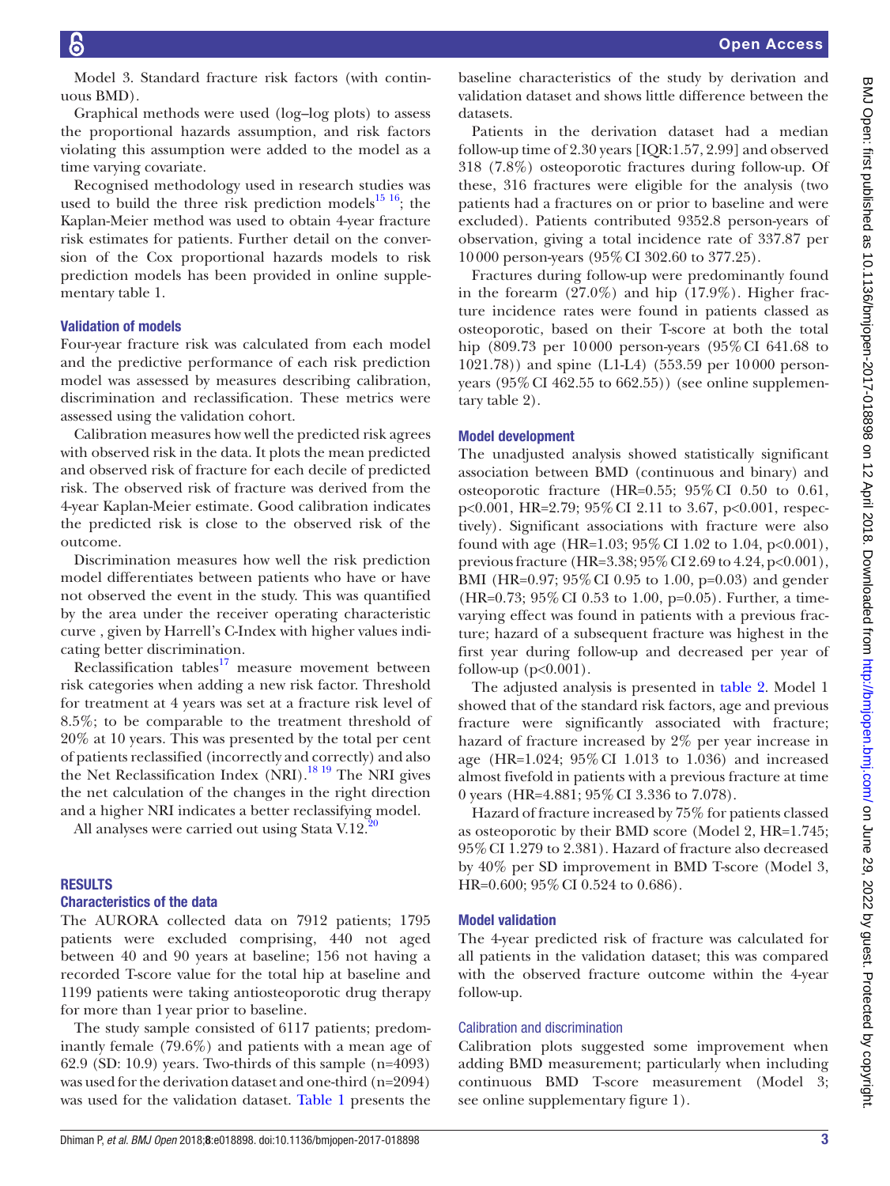Model 3. Standard fracture risk factors (with continuous BMD).

Graphical methods were used (log–log plots) to assess the proportional hazards assumption, and risk factors violating this assumption were added to the model as a time varying covariate.

Recognised methodology used in research studies was used to build the three risk prediction models<sup>[15 16](#page-7-12)</sup>; the Kaplan-Meier method was used to obtain 4-year fracture risk estimates for patients. Further detail on the conversion of the Cox proportional hazards models to risk prediction models has been provided in online [supple](https://dx.doi.org/10.1136/bmjopen-2017-018898)[mentary table 1](https://dx.doi.org/10.1136/bmjopen-2017-018898).

# Validation of models

Four-year fracture risk was calculated from each model and the predictive performance of each risk prediction model was assessed by measures describing calibration, discrimination and reclassification. These metrics were assessed using the validation cohort.

Calibration measures how well the predicted risk agrees with observed risk in the data. It plots the mean predicted and observed risk of fracture for each decile of predicted risk. The observed risk of fracture was derived from the 4-year Kaplan-Meier estimate. Good calibration indicates the predicted risk is close to the observed risk of the outcome.

Discrimination measures how well the risk prediction model differentiates between patients who have or have not observed the event in the study. This was quantified by the area under the receiver operating characteristic curve , given by Harrell's C-Index with higher values indicating better discrimination.

Reclassification tables<sup>[17](#page-7-13)</sup> measure movement between risk categories when adding a new risk factor. Threshold for treatment at 4 years was set at a fracture risk level of 8.5%; to be comparable to the treatment threshold of 20% at 10 years. This was presented by the total per cent of patients reclassified (incorrectly and correctly) and also the Net Reclassification Index (NRI).<sup>18 19</sup> The NRI gives the net calculation of the changes in the right direction and a higher NRI indicates a better reclassifying model.

All analyses were carried out using Stata V.12.<sup>20</sup>

#### **RESULTS**

#### Characteristics of the data

The AURORA collected data on 7912 patients; 1795 patients were excluded comprising, 440 not aged between 40 and 90 years at baseline; 156 not having a recorded T-score value for the total hip at baseline and 1199 patients were taking antiosteoporotic drug therapy for more than 1year prior to baseline.

The study sample consisted of 6117 patients; predominantly female (79.6%) and patients with a mean age of 62.9 (SD: 10.9) years. Two-thirds of this sample (n=4093) was used for the derivation dataset and one-third (n=2094) was used for the validation dataset. Table 1 presents the

baseline characteristics of the study by derivation and validation dataset and shows little difference between the datasets.

Patients in the derivation dataset had a median follow-up time of 2.30 years [IQR:1.57, 2.99] and observed 318 (7.8%) osteoporotic fractures during follow-up. Of these, 316 fractures were eligible for the analysis (two patients had a fractures on or prior to baseline and were excluded). Patients contributed 9352.8 person-years of observation, giving a total incidence rate of 337.87 per 10000 person-years (95%CI 302.60 to 377.25).

Fractures during follow-up were predominantly found in the forearm (27.0%) and hip (17.9%). Higher fracture incidence rates were found in patients classed as osteoporotic, based on their T-score at both the total hip (809.73 per 10000 person-years (95%CI 641.68 to 1021.78)) and spine (L1-L4) (553.59 per 10000 personyears  $(95\% \text{ CI } 462.55 \text{ to } 662.55)$ ) (see online [supplemen](https://dx.doi.org/10.1136/bmjopen-2017-018898)[tary table 2](https://dx.doi.org/10.1136/bmjopen-2017-018898)).

#### Model development

The unadjusted analysis showed statistically significant association between BMD (continuous and binary) and osteoporotic fracture (HR=0.55; 95%CI 0.50 to 0.61, p<0.001, HR=2.79; 95%CI 2.11 to 3.67, p<0.001, respectively). Significant associations with fracture were also found with age (HR=1.03; 95% CI 1.02 to 1.04, p<0.001), previous fracture (HR=3.38;  $95\%$  CI 2.69 to 4.24, p<0.001), BMI (HR=0.97; 95%CI 0.95 to 1.00, p=0.03) and gender (HR=0.73; 95%CI 0.53 to 1.00, p=0.05). Further, a timevarying effect was found in patients with a previous fracture; hazard of a subsequent fracture was highest in the first year during follow-up and decreased per year of follow-up  $(p<0.001)$ .

The adjusted analysis is presented in [table](#page-4-0) 2. Model 1 showed that of the standard risk factors, age and previous fracture were significantly associated with fracture; hazard of fracture increased by 2% per year increase in age (HR=1.024; 95%CI 1.013 to 1.036) and increased almost fivefold in patients with a previous fracture at time 0 years (HR=4.881; 95%CI 3.336 to 7.078).

Hazard of fracture increased by 75% for patients classed as osteoporotic by their BMD score (Model 2, HR=1.745; 95%CI 1.279 to 2.381). Hazard of fracture also decreased by 40% per SD improvement in BMD T-score (Model 3, HR=0.600; 95% CI 0.524 to 0.686).

#### Model validation

The 4-year predicted risk of fracture was calculated for all patients in the validation dataset; this was compared with the observed fracture outcome within the 4-year follow-up.

#### Calibration and discrimination

Calibration plots suggested some improvement when adding BMD measurement; particularly when including continuous BMD T-score measurement (Model 3; see online [supplementary figure 1](https://dx.doi.org/10.1136/bmjopen-2017-018898)).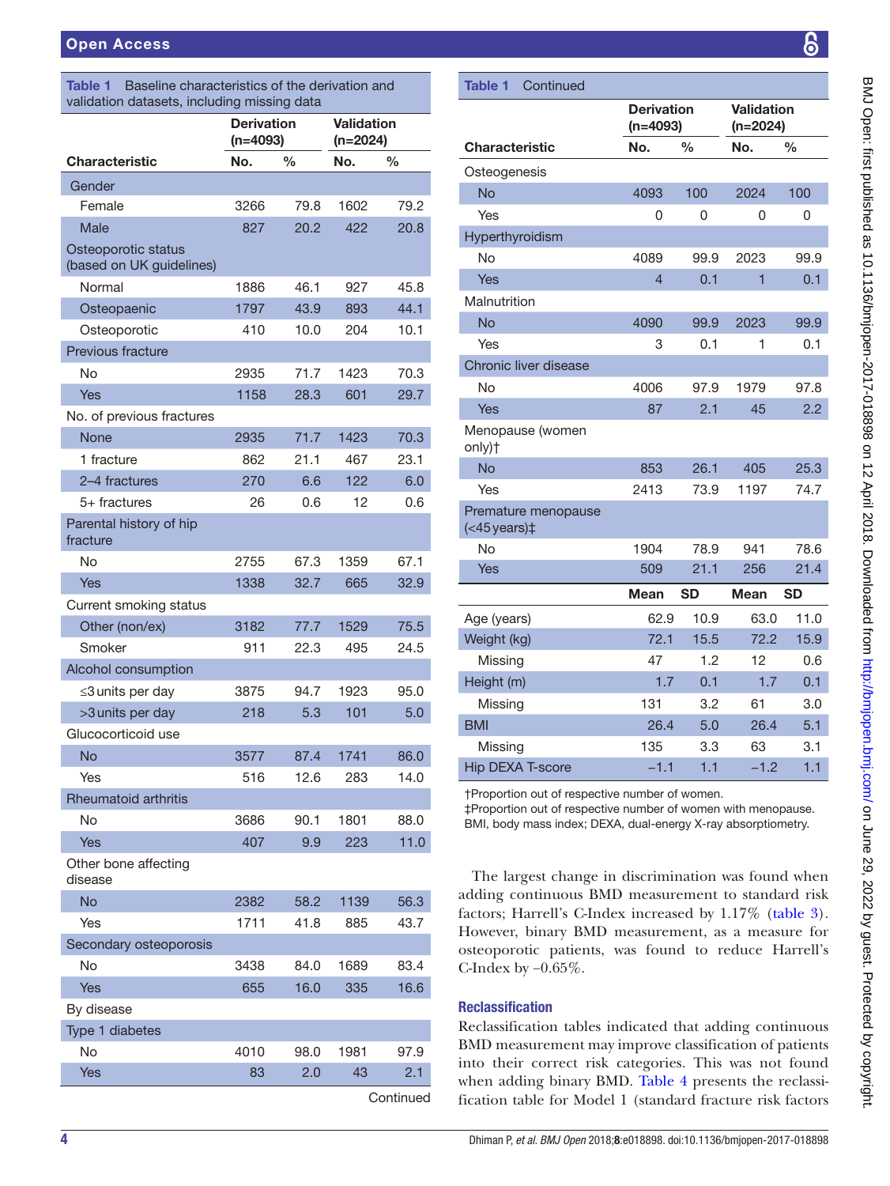| <b>Table 1</b> Baseline characteristics of the derivation and |  |
|---------------------------------------------------------------|--|
| validation datasets, including missing data                   |  |

|                                                 | <b>Derivation</b><br>$(n=4093)$ |               | <b>Validation</b><br>$(n=2024)$ |           |
|-------------------------------------------------|---------------------------------|---------------|---------------------------------|-----------|
| <b>Characteristic</b>                           | No.                             | $\frac{1}{2}$ | No.                             | %         |
| Gender                                          |                                 |               |                                 |           |
| Female                                          | 3266                            | 79.8          | 1602                            | 79.2      |
| Male                                            | 827                             | 20.2          | 422                             | 20.8      |
| Osteoporotic status<br>(based on UK guidelines) |                                 |               |                                 |           |
| Normal                                          | 1886                            | 46.1          | 927                             | 45.8      |
| Osteopaenic                                     | 1797                            | 43.9          | 893                             | 44.1      |
| Osteoporotic                                    | 410                             | 10.0          | 204                             | 10.1      |
| Previous fracture                               |                                 |               |                                 |           |
| No                                              | 2935                            | 71.7          | 1423                            | 70.3      |
| <b>Yes</b>                                      | 1158                            | 28.3          | 601                             | 29.7      |
| No. of previous fractures                       |                                 |               |                                 |           |
| None                                            | 2935                            | 71.7          | 1423                            | 70.3      |
| 1 fracture                                      | 862                             | 21.1          | 467                             | 23.1      |
| 2-4 fractures                                   | 270                             | 6.6           | 122                             | 6.0       |
| $5+$ fractures                                  | 26                              | 0.6           | 12                              | 0.6       |
| Parental history of hip<br>fracture             |                                 |               |                                 |           |
| No                                              | 2755                            | 67.3          | 1359                            | 67.1      |
| <b>Yes</b>                                      | 1338                            | 32.7          | 665                             | 32.9      |
| Current smoking status                          |                                 |               |                                 |           |
| Other (non/ex)                                  | 3182                            | 77.7          | 1529                            | 75.5      |
| Smoker                                          | 911                             | 22.3          | 495                             | 24.5      |
| Alcohol consumption                             |                                 |               |                                 |           |
| ≤3 units per day                                | 3875                            | 94.7          | 1923                            | 95.0      |
| >3 units per day                                | 218                             | 5.3           | 101                             | 5.0       |
| Glucocorticoid use                              |                                 |               |                                 |           |
| <b>No</b>                                       | 3577                            | 87.4          | 1741                            | 86.0      |
| Yes                                             | 516                             | 12.6          | 283                             | 14.0      |
| <b>Rheumatoid arthritis</b>                     |                                 |               |                                 |           |
| No                                              | 3686                            | 90.1          | 1801                            | 88.0      |
| Yes                                             | 407                             | 9.9           | 223                             | 11.0      |
| Other bone affecting<br>disease                 |                                 |               |                                 |           |
| No                                              | 2382                            | 58.2          | 1139                            | 56.3      |
| Yes                                             | 1711                            | 41.8          | 885                             | 43.7      |
| Secondary osteoporosis                          |                                 |               |                                 |           |
| No                                              | 3438                            | 84.0          | 1689                            | 83.4      |
| <b>Yes</b>                                      | 655                             | 16.0          | 335                             | 16.6      |
| By disease                                      |                                 |               |                                 |           |
| Type 1 diabetes                                 |                                 |               |                                 |           |
| <b>No</b>                                       | 4010                            | 98.0          | 1981                            | 97.9      |
| Yes                                             | 83                              | 2.0           | 43                              | 2.1       |
|                                                 |                                 |               |                                 | Continued |

| <b>Table 1</b><br>Continued                      |                                 |               |                                 |               |
|--------------------------------------------------|---------------------------------|---------------|---------------------------------|---------------|
|                                                  | <b>Derivation</b><br>$(n=4093)$ |               | <b>Validation</b><br>$(n=2024)$ |               |
| <b>Characteristic</b>                            | No.                             | $\frac{0}{0}$ | No.                             | $\frac{0}{0}$ |
| Osteogenesis                                     |                                 |               |                                 |               |
| No                                               | 4093                            | 100           | 2024                            | 100           |
| Yes                                              | 0                               | 0             | 0                               | 0             |
| Hyperthyroidism                                  |                                 |               |                                 |               |
| No                                               | 4089                            | 99.9          | 2023                            | 99.9          |
| Yes                                              | 4                               | 0.1           | 1                               | 0.1           |
| Malnutrition                                     |                                 |               |                                 |               |
| <b>No</b>                                        | 4090                            | 99.9          | 2023                            | 99.9          |
| Yes                                              | 3                               | 0.1           | 1                               | 0.1           |
| Chronic liver disease                            |                                 |               |                                 |               |
| No                                               | 4006                            | 97.9          | 1979                            | 97.8          |
| Yes                                              | 87                              | 2.1           | 45                              | 2.2           |
| Menopause (women<br>only)+                       |                                 |               |                                 |               |
| <b>No</b>                                        | 853                             | 26.1          | 405                             | 25.3          |
| Yes                                              | 2413                            | 73.9          | 1197                            | 74.7          |
| Premature menopause<br>$(<$ 45 years) $\ddagger$ |                                 |               |                                 |               |
| No                                               | 1904                            | 78.9          | 941                             | 78.6          |
| Yes                                              | 509                             | 21.1          | 256                             | 21.4          |
|                                                  | <b>Mean</b>                     | <b>SD</b>     | <b>Mean</b>                     | <b>SD</b>     |
| Age (years)                                      | 62.9                            | 10.9          | 63.0                            | 11.0          |
| Weight (kg)                                      | 72.1                            | 15.5          | 72.2                            | 15.9          |
| Missing                                          | 47                              | 1.2           | 12                              | 0.6           |
| Height (m)                                       | 1.7                             | 0.1           | 1.7                             | 0.1           |
| Missing                                          | 131                             | 3.2           | 61                              | 3.0           |
| <b>BMI</b>                                       | 26.4                            | 5.0           | 26.4                            | 5.1           |
| Missing                                          | 135                             | 3.3           | 63                              | 3.1           |
| <b>Hip DEXA T-score</b>                          | $-1.1$                          | 1.1           | $-1.2$                          | 1.1           |
|                                                  |                                 |               |                                 |               |

†Proportion out of respective number of women.

‡Proportion out of respective number of women with menopause. BMI, body mass index; DEXA, dual-energy X-ray absorptiometry.

The largest change in discrimination was found when adding continuous BMD measurement to standard risk factors; Harrell's C-Index increased by 1.17% [\(table](#page-4-1) 3). However, binary BMD measurement, as a measure for osteoporotic patients, was found to reduce Harrell's C-Index by −0.65%.

# Reclassification

Reclassification tables indicated that adding continuous BMD measurement may improve classification of patients into their correct risk categories. This was not found when adding binary BMD. [Table](#page-5-0) 4 presents the reclassification table for Model 1 (standard fracture risk factors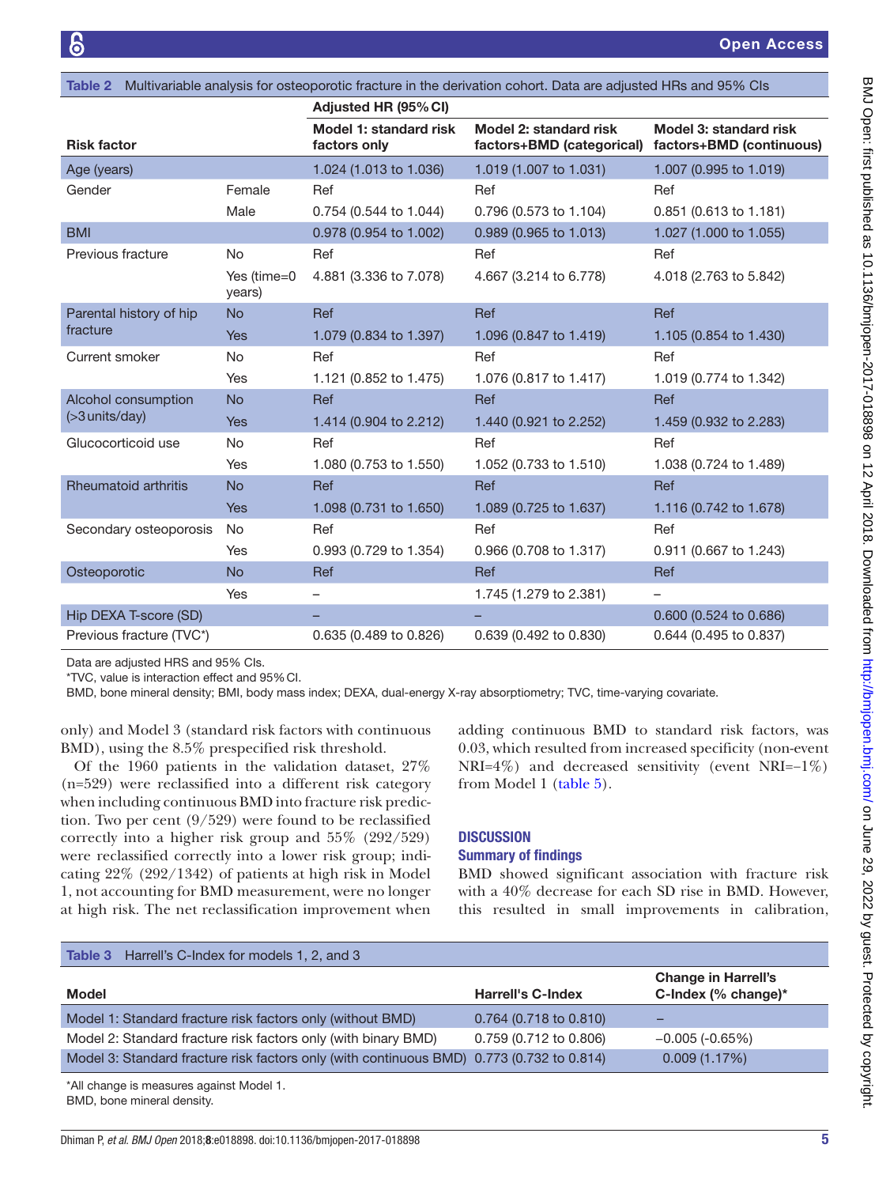<span id="page-4-0"></span>

| Table 2 Multivariable analysis for osteoporotic fracture in the derivation cohort. Data are adjusted HRs and 95% Cls |                       |                                        |                                                                              |                          |
|----------------------------------------------------------------------------------------------------------------------|-----------------------|----------------------------------------|------------------------------------------------------------------------------|--------------------------|
|                                                                                                                      |                       | Adjusted HR (95% CI)                   |                                                                              |                          |
| <b>Risk factor</b>                                                                                                   |                       | Model 1: standard risk<br>factors only | Model 2: standard risk<br>factors+BMD (categorical) factors+BMD (continuous) | Model 3: standard risk   |
| Age (years)                                                                                                          |                       | 1.024 (1.013 to 1.036)                 | 1.019 (1.007 to 1.031)                                                       | 1.007 (0.995 to 1.019)   |
| Gender                                                                                                               | Female                | Ref                                    | Ref                                                                          | Ref                      |
|                                                                                                                      | Male                  | 0.754 (0.544 to 1.044)                 | 0.796 (0.573 to 1.104)                                                       | 0.851 (0.613 to 1.181)   |
| <b>BMI</b>                                                                                                           |                       | 0.978 (0.954 to 1.002)                 | 0.989 (0.965 to 1.013)                                                       | 1.027 (1.000 to 1.055)   |
| Previous fracture                                                                                                    | <b>No</b>             | Ref                                    | Ref                                                                          | Ref                      |
|                                                                                                                      | Yes (time=0<br>years) | 4.881 (3.336 to 7.078)                 | 4.667 (3.214 to 6.778)                                                       | 4.018 (2.763 to 5.842)   |
| Parental history of hip                                                                                              | <b>No</b>             | <b>Ref</b>                             | Ref                                                                          | Ref                      |
| fracture                                                                                                             | <b>Yes</b>            | 1.079 (0.834 to 1.397)                 | 1.096 (0.847 to 1.419)                                                       | 1.105 (0.854 to 1.430)   |
| Current smoker                                                                                                       | <b>No</b>             | Ref                                    | Ref                                                                          | Ref                      |
|                                                                                                                      | Yes                   | 1.121 (0.852 to 1.475)                 | 1.076 (0.817 to 1.417)                                                       | 1.019 (0.774 to 1.342)   |
| Alcohol consumption                                                                                                  | <b>No</b>             | <b>Ref</b>                             | <b>Ref</b>                                                                   | Ref                      |
| $($ >3 units/day)                                                                                                    | <b>Yes</b>            | 1.414 (0.904 to 2.212)                 | 1.440 (0.921 to 2.252)                                                       | 1.459 (0.932 to 2.283)   |
| Glucocorticoid use                                                                                                   | <b>No</b>             | Ref                                    | Ref                                                                          | Ref                      |
|                                                                                                                      | Yes                   | 1.080 (0.753 to 1.550)                 | 1.052 (0.733 to 1.510)                                                       | 1.038 (0.724 to 1.489)   |
| <b>Rheumatoid arthritis</b>                                                                                          | <b>No</b>             | <b>Ref</b>                             | Ref                                                                          | Ref                      |
|                                                                                                                      | <b>Yes</b>            | 1.098 (0.731 to 1.650)                 | 1.089 (0.725 to 1.637)                                                       | 1.116 (0.742 to 1.678)   |
| Secondary osteoporosis                                                                                               | No                    | Ref                                    | Ref                                                                          | Ref                      |
|                                                                                                                      | <b>Yes</b>            | 0.993 (0.729 to 1.354)                 | 0.966 (0.708 to 1.317)                                                       | 0.911 (0.667 to 1.243)   |
| Osteoporotic                                                                                                         | <b>No</b>             | Ref                                    | <b>Ref</b>                                                                   | Ref                      |
|                                                                                                                      | Yes                   | $\overline{\phantom{0}}$               | 1.745 (1.279 to 2.381)                                                       | $\overline{\phantom{m}}$ |
| Hip DEXA T-score (SD)                                                                                                |                       |                                        |                                                                              | 0.600 (0.524 to 0.686)   |
| Previous fracture (TVC*)                                                                                             |                       | 0.635 (0.489 to 0.826)                 | 0.639 (0.492 to 0.830)                                                       | 0.644 (0.495 to 0.837)   |

\*TVC, value is interaction effect and 95%CI.

Data are adjusted HRS and 95% CIs.

BMD, bone mineral density; BMI, body mass index; DEXA, dual-energy X-ray absorptiometry; TVC, time-varying covariate.

only) and Model 3 (standard risk factors with continuous BMD), using the 8.5% prespecified risk threshold.

Of the 1960 patients in the validation dataset, 27% (n=529) were reclassified into a different risk category when including continuous BMD into fracture risk prediction. Two per cent (9/529) were found to be reclassified correctly into a higher risk group and 55% (292/529) were reclassified correctly into a lower risk group; indicating 22% (292/1342) of patients at high risk in Model 1, not accounting for BMD measurement, were no longer at high risk. The net reclassification improvement when

adding continuous BMD to standard risk factors, was 0.03, which resulted from increased specificity (non-event NRI=4%) and decreased sensitivity (event NRI=−1%) from Model 1 ([table](#page-5-1) 5).

#### **DISCUSSION**

#### Summary of findings

BMD showed significant association with fracture risk with a 40% decrease for each SD rise in BMD. However, this resulted in small improvements in calibration,

<span id="page-4-1"></span>

| <b>Table 3</b> Harrell's C-Index for models 1, 2, and 3                                   |                          |                                                      |
|-------------------------------------------------------------------------------------------|--------------------------|------------------------------------------------------|
| <b>Model</b>                                                                              | <b>Harrell's C-Index</b> | <b>Change in Harrell's</b><br>C-Index (% change) $*$ |
| Model 1: Standard fracture risk factors only (without BMD)                                | $0.764$ (0.718 to 0.810) | -                                                    |
| Model 2: Standard fracture risk factors only (with binary BMD)                            | 0.759 (0.712 to 0.806)   | $-0.005$ (-0.65%)                                    |
| Model 3: Standard fracture risk factors only (with continuous BMD) 0.773 (0.732 to 0.814) |                          | 0.009(1.17%)                                         |

\*All change is measures against Model 1.

BMD, bone mineral density.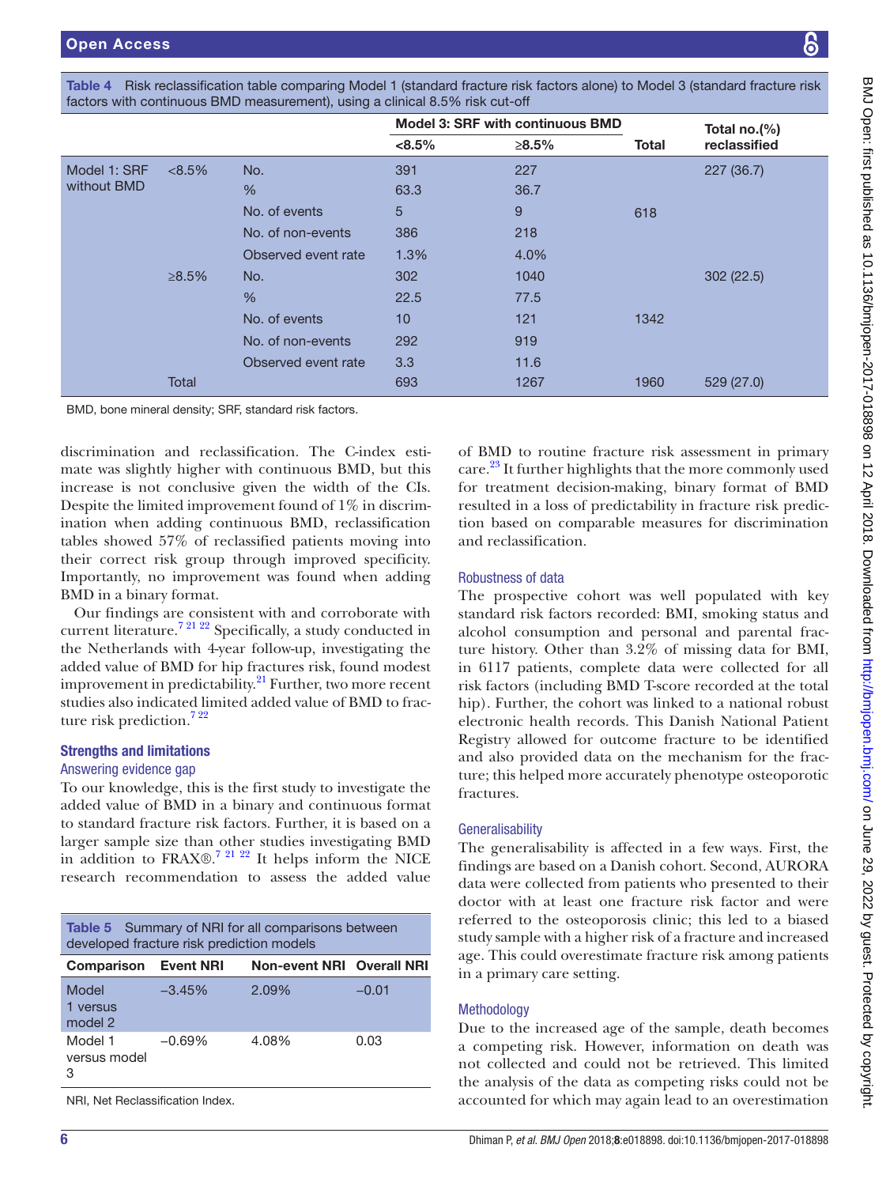<span id="page-5-0"></span>

| Table 4 Risk reclassification table comparing Model 1 (standard fracture risk factors alone) to Model 3 (standard fracture risk |  |
|---------------------------------------------------------------------------------------------------------------------------------|--|
| factors with continuous BMD measurement), using a clinical 8.5% risk cut-off                                                    |  |

|              |           |                     | Model 3: SRF with continuous BMD |       |              | Total no.(%) |
|--------------|-----------|---------------------|----------------------------------|-------|--------------|--------------|
|              |           |                     | $< 8.5\%$                        | ≥8.5% | <b>Total</b> | reclassified |
| Model 1: SRF | $< 8.5\%$ | No.                 | 391                              | 227   |              | 227 (36.7)   |
| without BMD  |           | %                   | 63.3                             | 36.7  |              |              |
|              |           | No. of events       | 5                                | 9     | 618          |              |
|              |           | No. of non-events   | 386                              | 218   |              |              |
|              |           | Observed event rate | 1.3%                             | 4.0%  |              |              |
|              | ≥8.5%     | No.                 | 302                              | 1040  |              | 302(22.5)    |
|              |           | %                   | 22.5                             | 77.5  |              |              |
|              |           | No. of events       | 10                               | 121   | 1342         |              |
|              |           | No. of non-events   | 292                              | 919   |              |              |
|              |           | Observed event rate | 3.3                              | 11.6  |              |              |
|              | Total     |                     | 693                              | 1267  | 1960         | 529 (27.0)   |

BMD, bone mineral density; SRF, standard risk factors.

discrimination and reclassification. The C-index estimate was slightly higher with continuous BMD, but this increase is not conclusive given the width of the CIs. Despite the limited improvement found of 1% in discrimination when adding continuous BMD, reclassification tables showed 57% of reclassified patients moving into their correct risk group through improved specificity. Importantly, no improvement was found when adding BMD in a binary format.

Our findings are consistent with and corroborate with current literature[.7 21 22](#page-7-16) Specifically, a study conducted in the Netherlands with 4-year follow-up, investigating the added value of BMD for hip fractures risk, found modest improvement in predictability.<sup>21</sup> Further, two more recent studies also indicated limited added value of BMD to fracture risk prediction.<sup>722</sup>

# Strengths and limitations

#### Answering evidence gap

To our knowledge, this is the first study to investigate the added value of BMD in a binary and continuous format to standard fracture risk factors. Further, it is based on a larger sample size than other studies investigating BMD in addition to FRAX $\odot$ <sup>7 21 22</sup> It helps inform the NICE research recommendation to assess the added value

<span id="page-5-1"></span>

| Table 5 Summary of NRI for all comparisons between<br>developed fracture risk prediction models |          |                                  |         |  |  |  |
|-------------------------------------------------------------------------------------------------|----------|----------------------------------|---------|--|--|--|
| <b>Comparison Event NRI</b>                                                                     |          | <b>Non-event NRI Overall NRI</b> |         |  |  |  |
| Model<br>1 versus<br>model 2                                                                    | $-3.45%$ | 2.09%                            | $-0.01$ |  |  |  |
| Model 1<br>versus model<br>З                                                                    | $-0.69%$ | 4.08%                            | 0.03    |  |  |  |

NRI, Net Reclassification Index.

of BMD to routine fracture risk assessment in primary care.<sup>23</sup> It further highlights that the more commonly used for treatment decision-making, binary format of BMD resulted in a loss of predictability in fracture risk prediction based on comparable measures for discrimination and reclassification.

# Robustness of data

The prospective cohort was well populated with key standard risk factors recorded: BMI, smoking status and alcohol consumption and personal and parental fracture history. Other than 3.2% of missing data for BMI, in 6117 patients, complete data were collected for all risk factors (including BMD T-score recorded at the total hip). Further, the cohort was linked to a national robust electronic health records. This Danish National Patient Registry allowed for outcome fracture to be identified and also provided data on the mechanism for the fracture; this helped more accurately phenotype osteoporotic fractures.

#### **Generalisability**

The generalisability is affected in a few ways. First, the findings are based on a Danish cohort. Second, AURORA data were collected from patients who presented to their doctor with at least one fracture risk factor and were referred to the osteoporosis clinic; this led to a biased study sample with a higher risk of a fracture and increased age. This could overestimate fracture risk among patients in a primary care setting.

# **Methodology**

Due to the increased age of the sample, death becomes a competing risk. However, information on death was not collected and could not be retrieved. This limited the analysis of the data as competing risks could not be accounted for which may again lead to an overestimation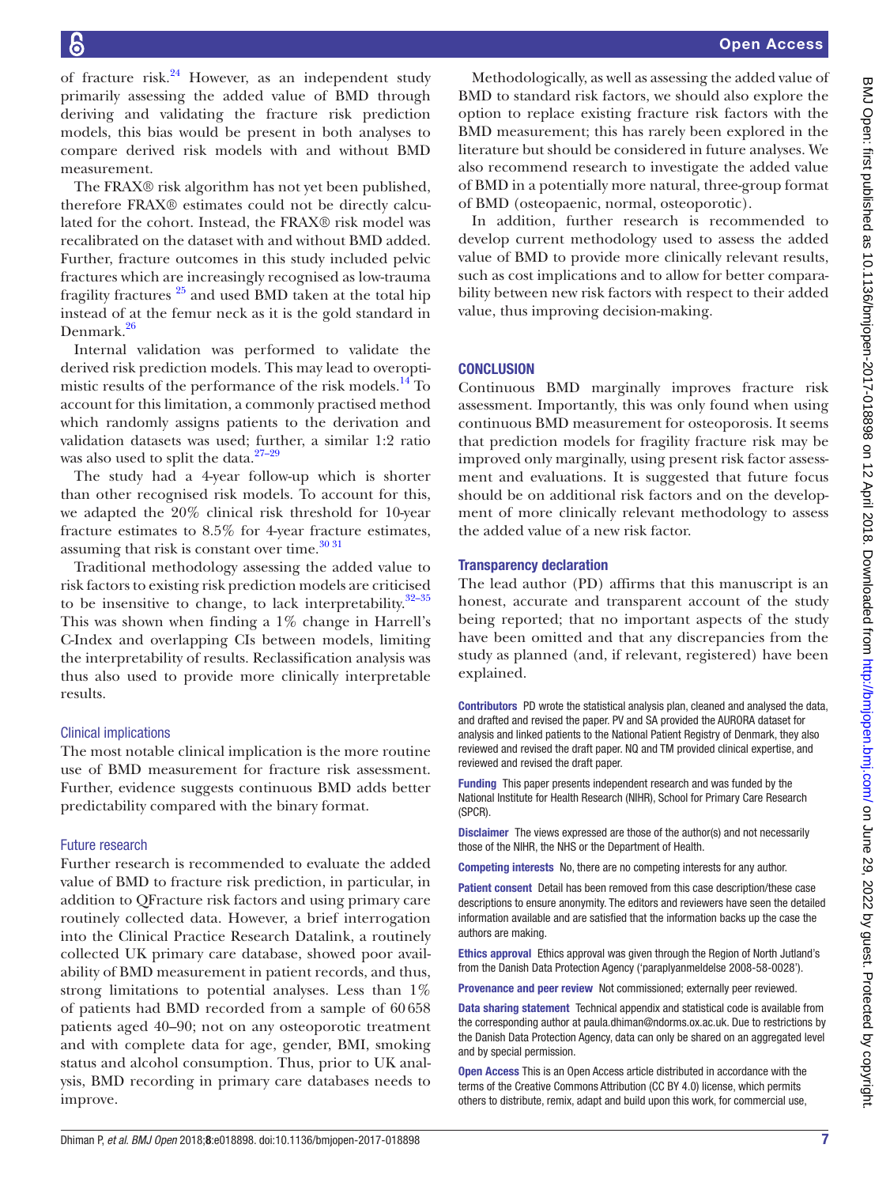of fracture risk. $24$  However, as an independent study primarily assessing the added value of BMD through deriving and validating the fracture risk prediction models, this bias would be present in both analyses to compare derived risk models with and without BMD measurement.

The FRAX® risk algorithm has not yet been published, therefore FRAX® estimates could not be directly calculated for the cohort. Instead, the FRAX® risk model was recalibrated on the dataset with and without BMD added. Further, fracture outcomes in this study included pelvic fractures which are increasingly recognised as low-trauma fragility fractures  $25$  and used BMD taken at the total hip instead of at the femur neck as it is the gold standard in Denmark[.26](#page-7-21)

Internal validation was performed to validate the derived risk prediction models. This may lead to overopti-mistic results of the performance of the risk models.<sup>[14](#page-7-11)</sup> To account for this limitation, a commonly practised method which randomly assigns patients to the derivation and validation datasets was used; further, a similar 1:2 ratio was also used to split the data. $27-29$ 

The study had a 4-year follow-up which is shorter than other recognised risk models. To account for this, we adapted the 20% clinical risk threshold for 10-year fracture estimates to 8.5% for 4-year fracture estimates, assuming that risk is constant over time. $30\,31$ 

Traditional methodology assessing the added value to risk factors to existing risk prediction models are criticised to be insensitive to change, to lack interpretability. $32-35$ This was shown when finding a 1% change in Harrell's C-Index and overlapping CIs between models, limiting the interpretability of results. Reclassification analysis was thus also used to provide more clinically interpretable results.

#### Clinical implications

The most notable clinical implication is the more routine use of BMD measurement for fracture risk assessment. Further, evidence suggests continuous BMD adds better predictability compared with the binary format.

# Future research

Further research is recommended to evaluate the added value of BMD to fracture risk prediction, in particular, in addition to QFracture risk factors and using primary care routinely collected data. However, a brief interrogation into the Clinical Practice Research Datalink, a routinely collected UK primary care database, showed poor availability of BMD measurement in patient records, and thus, strong limitations to potential analyses. Less than 1% of patients had BMD recorded from a sample of 60658 patients aged 40–90; not on any osteoporotic treatment and with complete data for age, gender, BMI, smoking status and alcohol consumption. Thus, prior to UK analysis, BMD recording in primary care databases needs to improve.

Methodologically, as well as assessing the added value of BMD to standard risk factors, we should also explore the option to replace existing fracture risk factors with the BMD measurement; this has rarely been explored in the literature but should be considered in future analyses. We also recommend research to investigate the added value of BMD in a potentially more natural, three-group format of BMD (osteopaenic, normal, osteoporotic).

In addition, further research is recommended to develop current methodology used to assess the added value of BMD to provide more clinically relevant results, such as cost implications and to allow for better comparability between new risk factors with respect to their added value, thus improving decision-making.

# **CONCLUSION**

Continuous BMD marginally improves fracture risk assessment. Importantly, this was only found when using continuous BMD measurement for osteoporosis. It seems that prediction models for fragility fracture risk may be improved only marginally, using present risk factor assessment and evaluations. It is suggested that future focus should be on additional risk factors and on the development of more clinically relevant methodology to assess the added value of a new risk factor.

#### Transparency declaration

The lead author (PD) affirms that this manuscript is an honest, accurate and transparent account of the study being reported; that no important aspects of the study have been omitted and that any discrepancies from the study as planned (and, if relevant, registered) have been explained.

Contributors PD wrote the statistical analysis plan, cleaned and analysed the data, and drafted and revised the paper. PV and SA provided the AURORA dataset for analysis and linked patients to the National Patient Registry of Denmark, they also reviewed and revised the draft paper. NQ and TM provided clinical expertise, and reviewed and revised the draft paper.

Funding This paper presents independent research and was funded by the National Institute for Health Research (NIHR), School for Primary Care Research (SPCR).

Disclaimer The views expressed are those of the author(s) and not necessarily those of the NIHR, the NHS or the Department of Health.

Competing interests No, there are no competing interests for any author.

Patient consent Detail has been removed from this case description/these case descriptions to ensure anonymity. The editors and reviewers have seen the detailed information available and are satisfied that the information backs up the case the authors are making.

Ethics approval Ethics approval was given through the Region of North Jutland's from the Danish Data Protection Agency ('paraplyanmeldelse 2008-58-0028').

Provenance and peer review Not commissioned; externally peer reviewed.

Data sharing statement Technical appendix and statistical code is available from the corresponding author at paula.dhiman@ndorms.ox.ac.uk. Due to restrictions by the Danish Data Protection Agency, data can only be shared on an aggregated level and by special permission.

Open Access This is an Open Access article distributed in accordance with the terms of the Creative Commons Attribution (CC BY 4.0) license, which permits others to distribute, remix, adapt and build upon this work, for commercial use,